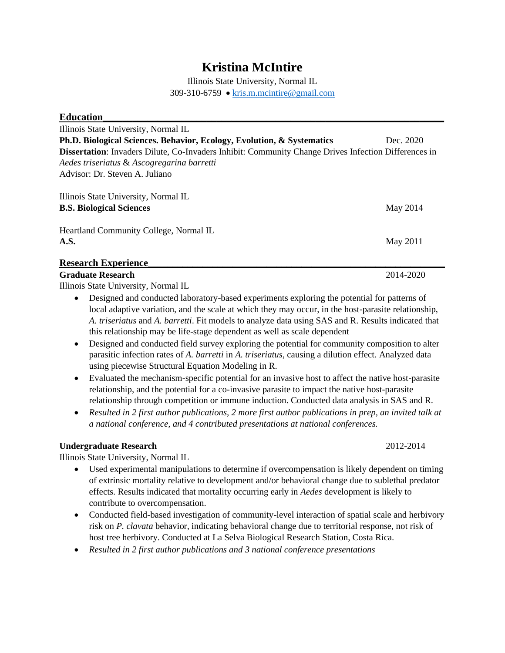# **Kristina McIntire**

Illinois State University, Normal IL 309-310-6759 • [kris.m.mcintire@gmail.com](mailto:kris.m.mcintire@gmail.com)

| <b>Education</b>                                                                                     |           |
|------------------------------------------------------------------------------------------------------|-----------|
| Illinois State University, Normal IL                                                                 |           |
| Ph.D. Biological Sciences. Behavior, Ecology, Evolution, & Systematics                               | Dec. 2020 |
| Dissertation: Invaders Dilute, Co-Invaders Inhibit: Community Change Drives Infection Differences in |           |
| Aedes triseriatus & Ascogregarina barretti                                                           |           |
| Advisor: Dr. Steven A. Juliano                                                                       |           |
| Illinois State University, Normal IL                                                                 |           |
| <b>B.S. Biological Sciences</b>                                                                      | May 2014  |
| Heartland Community College, Normal IL                                                               |           |
| A.S.                                                                                                 | May 2011  |
| <b>Research Experience</b>                                                                           |           |

#### **Graduate Research** 2014-2020

Illinois State University, Normal IL

- Designed and conducted laboratory-based experiments exploring the potential for patterns of local adaptive variation, and the scale at which they may occur, in the host-parasite relationship, *A. triseriatus* and *A. barretti*. Fit models to analyze data using SAS and R. Results indicated that this relationship may be life-stage dependent as well as scale dependent
- Designed and conducted field survey exploring the potential for community composition to alter parasitic infection rates of *A. barretti* in *A. triseriatus*, causing a dilution effect. Analyzed data using piecewise Structural Equation Modeling in R.
- Evaluated the mechanism-specific potential for an invasive host to affect the native host-parasite relationship, and the potential for a co-invasive parasite to impact the native host-parasite relationship through competition or immune induction. Conducted data analysis in SAS and R.
- *Resulted in 2 first author publications, 2 more first author publications in prep, an invited talk at a national conference, and 4 contributed presentations at national conferences.*

#### **Undergraduate Research** 2012-2014

Illinois State University, Normal IL

- Used experimental manipulations to determine if overcompensation is likely dependent on timing of extrinsic mortality relative to development and/or behavioral change due to sublethal predator effects. Results indicated that mortality occurring early in *Aedes* development is likely to contribute to overcompensation.
- Conducted field-based investigation of community-level interaction of spatial scale and herbivory risk on *P. clavata* behavior, indicating behavioral change due to territorial response, not risk of host tree herbivory. Conducted at La Selva Biological Research Station, Costa Rica.
- *Resulted in 2 first author publications and 3 national conference presentations*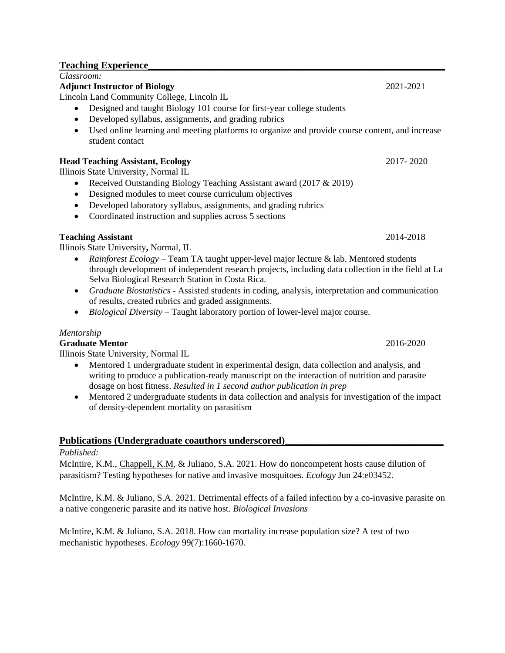## **Teaching Experience**

*Classroom:*

## **Adjunct Instructor of Biology** 2021-2021

Lincoln Land Community College, Lincoln IL

- Designed and taught Biology 101 course for first-year college students
- Developed syllabus, assignments, and grading rubrics
- Used online learning and meeting platforms to organize and provide course content, and increase student contact

## **Head Teaching Assistant, Ecology** 2017- 2020

Illinois State University, Normal IL

- Received Outstanding Biology Teaching Assistant award (2017 & 2019)
- Designed modules to meet course curriculum objectives
- Developed laboratory syllabus, assignments, and grading rubrics
- Coordinated instruction and supplies across 5 sections

## **Teaching Assistant** 2014-2018

Illinois State University**,** Normal, IL

- *Rainforest Ecology* Team TA taught upper-level major lecture & lab. Mentored students through development of independent research projects, including data collection in the field at La Selva Biological Research Station in Costa Rica.
- *Graduate Biostatistics* Assisted students in coding, analysis, interpretation and communication of results, created rubrics and graded assignments.
- *Biological Diversity* Taught laboratory portion of lower-level major course.

## *Mentorship*

## **Graduate Mentor** 2016-2020

Illinois State University, Normal IL

- Mentored 1 undergraduate student in experimental design, data collection and analysis, and writing to produce a publication-ready manuscript on the interaction of nutrition and parasite dosage on host fitness. *Resulted in 1 second author publication in prep*
- Mentored 2 undergraduate students in data collection and analysis for investigation of the impact of density-dependent mortality on parasitism

## Publications (Undergraduate coauthors underscored)

## *Published:*

McIntire, K.M., Chappell, K.M, & Juliano, S.A. 2021. How do noncompetent hosts cause dilution of parasitism? Testing hypotheses for native and invasive mosquitoes. *Ecology* Jun 24:e03452.

McIntire, K.M. & Juliano, S.A. 2021. Detrimental effects of a failed infection by a co-invasive parasite on a native congeneric parasite and its native host. *Biological Invasions*

McIntire, K.M. & Juliano, S.A. 2018. How can mortality increase population size? A test of two mechanistic hypotheses. *Ecology* 99(7):1660-1670.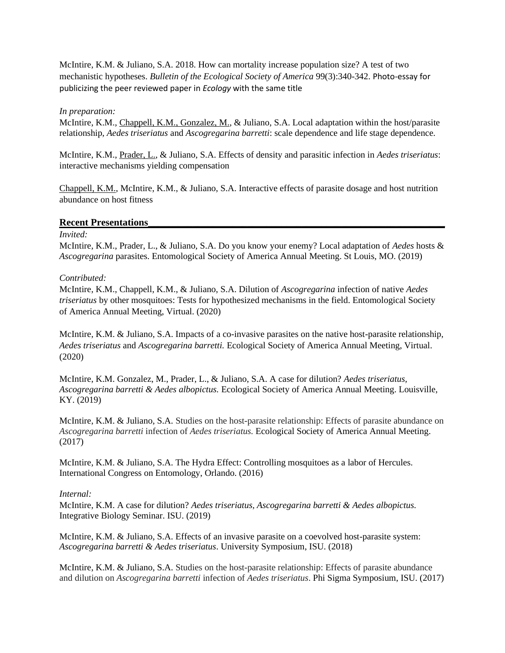McIntire, K.M. & Juliano, S.A. 2018. How can mortality increase population size? A test of two mechanistic hypotheses. *Bulletin of the Ecological Society of America* 99(3):340-342. Photo-essay for publicizing the peer reviewed paper in *Ecology* with the same title

#### *In preparation:*

McIntire, K.M., Chappell, K.M., Gonzalez, M., & Juliano, S.A. Local adaptation within the host/parasite relationship, *Aedes triseriatus* and *Ascogregarina barretti*: scale dependence and life stage dependence.

McIntire, K.M., Prader, L., & Juliano, S.A. Effects of density and parasitic infection in *Aedes triseriatus*: interactive mechanisms yielding compensation

Chappell, K.M., McIntire, K.M., & Juliano, S.A. Interactive effects of parasite dosage and host nutrition abundance on host fitness

#### **Recent Presentations\_\_\_\_\_\_\_\_\_\_\_\_\_\_\_\_\_\_\_\_\_\_\_\_\_\_\_\_\_\_\_\_\_\_\_\_\_\_\_\_\_\_\_\_\_\_\_\_\_\_\_\_\_\_\_\_\_\_\_\_**

#### *Invited:*

McIntire, K.M., Prader, L., & Juliano, S.A. Do you know your enemy? Local adaptation of *Aedes* hosts & *Ascogregarina* parasites. Entomological Society of America Annual Meeting. St Louis, MO. (2019)

#### *Contributed:*

McIntire, K.M., Chappell, K.M., & Juliano, S.A. Dilution of *Ascogregarina* infection of native *Aedes triseriatus* by other mosquitoes: Tests for hypothesized mechanisms in the field. Entomological Society of America Annual Meeting, Virtual. (2020)

McIntire, K.M. & Juliano, S.A. Impacts of a co-invasive parasites on the native host-parasite relationship, *Aedes triseriatus* and *Ascogregarina barretti.* Ecological Society of America Annual Meeting, Virtual. (2020)

McIntire, K.M. Gonzalez, M., Prader, L., & Juliano, S.A. A case for dilution? *Aedes triseriatus, Ascogregarina barretti & Aedes albopictus.* Ecological Society of America Annual Meeting. Louisville, KY. (2019)

McIntire, K.M. & Juliano, S.A. Studies on the host-parasite relationship: Effects of parasite abundance on *Ascogregarina barretti* infection of *Aedes triseriatus.* Ecological Society of America Annual Meeting. (2017)

McIntire, K.M. & Juliano, S.A. The Hydra Effect: Controlling mosquitoes as a labor of Hercules. International Congress on Entomology, Orlando. (2016)

#### *Internal:*

McIntire, K.M. A case for dilution? *Aedes triseriatus, Ascogregarina barretti & Aedes albopictus.* Integrative Biology Seminar. ISU. (2019)

McIntire, K.M. & Juliano, S.A. Effects of an invasive parasite on a coevolved host-parasite system: *Ascogregarina barretti & Aedes triseriatus*. University Symposium, ISU. (2018)

McIntire, K.M. & Juliano, S.A. Studies on the host-parasite relationship: Effects of parasite abundance and dilution on *Ascogregarina barretti* infection of *Aedes triseriatus*. Phi Sigma Symposium, ISU. (2017)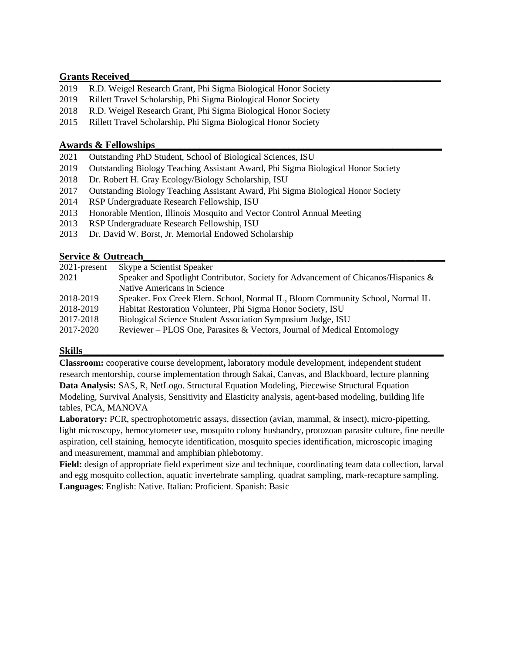### **Grants Received\_\_\_\_\_\_\_\_\_\_\_\_\_\_\_\_\_\_\_\_\_\_\_\_\_\_\_\_\_\_\_\_\_\_\_\_\_\_\_\_\_\_\_\_\_\_\_\_\_\_\_\_\_\_\_\_\_\_\_\_\_\_\_**

- 2019 R.D. Weigel Research Grant, Phi Sigma Biological Honor Society
- 2019 Rillett Travel Scholarship, Phi Sigma Biological Honor Society
- 2018 R.D. Weigel Research Grant, Phi Sigma Biological Honor Society
- 2015 Rillett Travel Scholarship, Phi Sigma Biological Honor Society

### **Awards & Fellowships\_\_\_\_\_\_\_\_\_\_\_\_\_\_\_\_\_\_\_\_\_\_\_\_\_\_\_\_\_\_\_\_\_\_\_\_\_\_\_\_\_\_\_\_\_\_\_\_\_\_\_\_\_\_\_\_\_\_**

- 2021 Outstanding PhD Student, School of Biological Sciences, ISU
- 2019 Outstanding Biology Teaching Assistant Award, Phi Sigma Biological Honor Society
- 2018 Dr. Robert H. Gray Ecology/Biology Scholarship, ISU
- 2017 Outstanding Biology Teaching Assistant Award, Phi Sigma Biological Honor Society
- 2014 RSP Undergraduate Research Fellowship, ISU
- 2013 Honorable Mention, Illinois Mosquito and Vector Control Annual Meeting
- 2013 RSP Undergraduate Research Fellowship, ISU
- 2013 Dr. David W. Borst, Jr. Memorial Endowed Scholarship

### Service & Outreach

| $2021$ -present | Skype a Scientist Speaker                                                          |
|-----------------|------------------------------------------------------------------------------------|
| 2021            | Speaker and Spotlight Contributor. Society for Advancement of Chicanos/Hispanics & |
|                 | Native Americans in Science                                                        |
| 2018-2019       | Speaker. Fox Creek Elem. School, Normal IL, Bloom Community School, Normal IL      |
| 2018-2019       | Habitat Restoration Volunteer, Phi Sigma Honor Society, ISU                        |
| 2017-2018       | Biological Science Student Association Symposium Judge, ISU                        |
| 2017-2020       | Reviewer – PLOS One, Parasites & Vectors, Journal of Medical Entomology            |
|                 |                                                                                    |

### **Skills\_\_\_\_\_\_\_\_\_\_\_\_\_\_\_\_\_\_\_\_\_\_\_\_\_\_\_\_\_\_\_\_\_\_\_\_\_\_\_\_\_\_\_\_\_\_\_\_\_\_\_\_\_\_\_\_\_\_\_\_\_\_\_\_\_\_\_\_\_\_\_\_\_**

**Classroom:** cooperative course development**,** laboratory module development, independent student research mentorship, course implementation through Sakai, Canvas, and Blackboard, lecture planning **Data Analysis:** SAS, R, NetLogo. Structural Equation Modeling, Piecewise Structural Equation Modeling, Survival Analysis, Sensitivity and Elasticity analysis, agent-based modeling, building life tables, PCA, MANOVA

**Laboratory:** PCR, spectrophotometric assays, dissection (avian, mammal, & insect), micro-pipetting, light microscopy, hemocytometer use, mosquito colony husbandry, protozoan parasite culture, fine needle aspiration, cell staining, hemocyte identification, mosquito species identification, microscopic imaging and measurement, mammal and amphibian phlebotomy.

**Field:** design of appropriate field experiment size and technique, coordinating team data collection, larval and egg mosquito collection, aquatic invertebrate sampling, quadrat sampling, mark-recapture sampling. **Languages**: English: Native. Italian: Proficient. Spanish: Basic